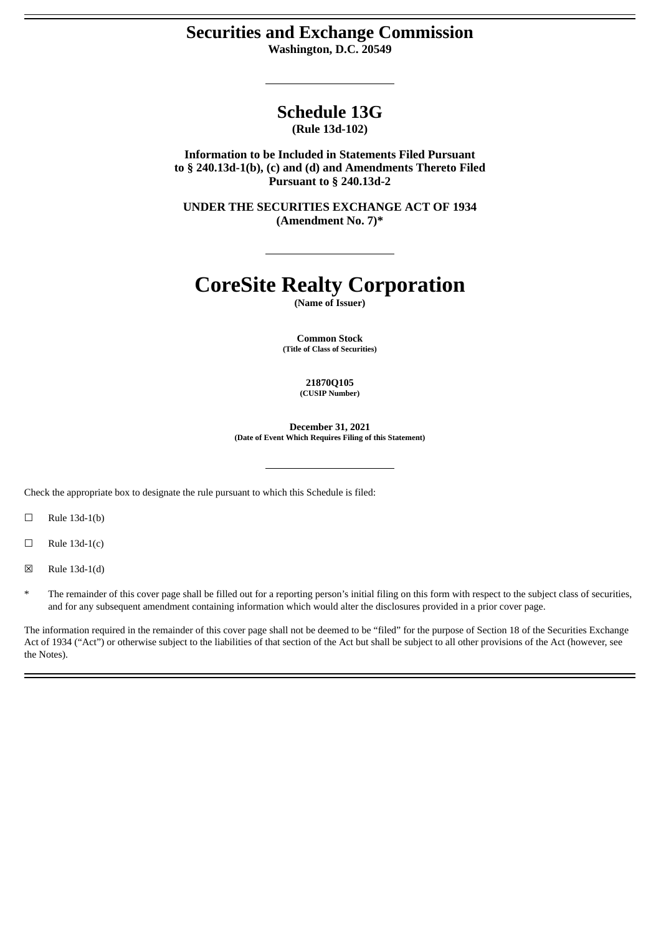# **Securities and Exchange Commission**

**Washington, D.C. 20549**

# **Schedule 13G**

**(Rule 13d-102)**

**Information to be Included in Statements Filed Pursuant to § 240.13d-1(b), (c) and (d) and Amendments Thereto Filed Pursuant to § 240.13d-2**

**UNDER THE SECURITIES EXCHANGE ACT OF 1934 (Amendment No. 7)\***

# **CoreSite Realty Corporation**

**(Name of Issuer)**

**Common Stock (Title of Class of Securities)**

> **21870Q105 (CUSIP Number)**

**December 31, 2021 (Date of Event Which Requires Filing of this Statement)**

Check the appropriate box to designate the rule pursuant to which this Schedule is filed:

 $\Box$  Rule 13d-1(b)

 $\Box$  Rule 13d-1(c)

☒ Rule 13d-1(d)

The remainder of this cover page shall be filled out for a reporting person's initial filing on this form with respect to the subject class of securities, and for any subsequent amendment containing information which would alter the disclosures provided in a prior cover page.

The information required in the remainder of this cover page shall not be deemed to be "filed" for the purpose of Section 18 of the Securities Exchange Act of 1934 ("Act") or otherwise subject to the liabilities of that section of the Act but shall be subject to all other provisions of the Act (however, see the Notes).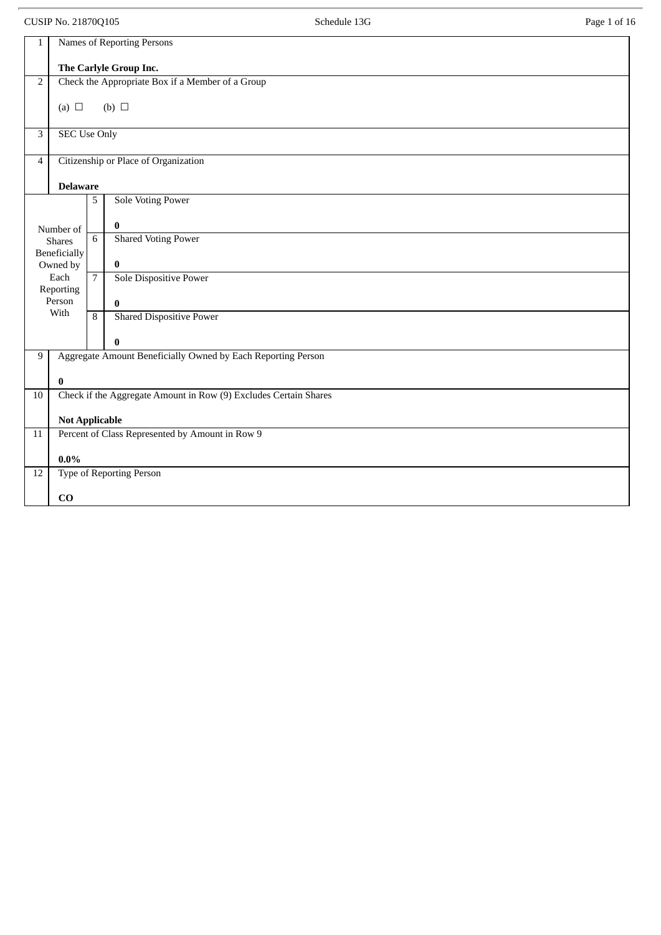CUSIP No. 21870Q105 Page 1 of 16

| 1              |                                 |                | Names of Reporting Persons                                       |
|----------------|---------------------------------|----------------|------------------------------------------------------------------|
|                |                                 |                | The Carlyle Group Inc.                                           |
| $\overline{2}$ |                                 |                | Check the Appropriate Box if a Member of a Group                 |
|                | (a) $\Box$                      |                | (b) $\Box$                                                       |
| $\overline{3}$ | <b>SEC Use Only</b>             |                |                                                                  |
|                |                                 |                |                                                                  |
| $\overline{4}$ |                                 |                | Citizenship or Place of Organization                             |
|                | <b>Delaware</b>                 |                |                                                                  |
|                |                                 | 5              | <b>Sole Voting Power</b>                                         |
|                | Number of                       |                | $\bf{0}$                                                         |
|                | <b>Shares</b>                   | 6              | <b>Shared Voting Power</b>                                       |
|                | <b>Beneficially</b><br>Owned by |                | $\bf{0}$                                                         |
|                | Each                            | $\overline{7}$ | <b>Sole Dispositive Power</b>                                    |
|                | Reporting<br>Person             |                | $\bf{0}$                                                         |
|                | With                            | 8              | <b>Shared Dispositive Power</b>                                  |
|                |                                 |                | $\bf{0}$                                                         |
| 9              |                                 |                | Aggregate Amount Beneficially Owned by Each Reporting Person     |
|                | $\bf{0}$                        |                |                                                                  |
| $10\,$         |                                 |                | Check if the Aggregate Amount in Row (9) Excludes Certain Shares |
|                |                                 |                |                                                                  |
| 11             | <b>Not Applicable</b>           |                | Percent of Class Represented by Amount in Row 9                  |
|                |                                 |                |                                                                  |
| $12\,$         | $0.0\%$                         |                | Type of Reporting Person                                         |
|                |                                 |                |                                                                  |
|                | CO                              |                |                                                                  |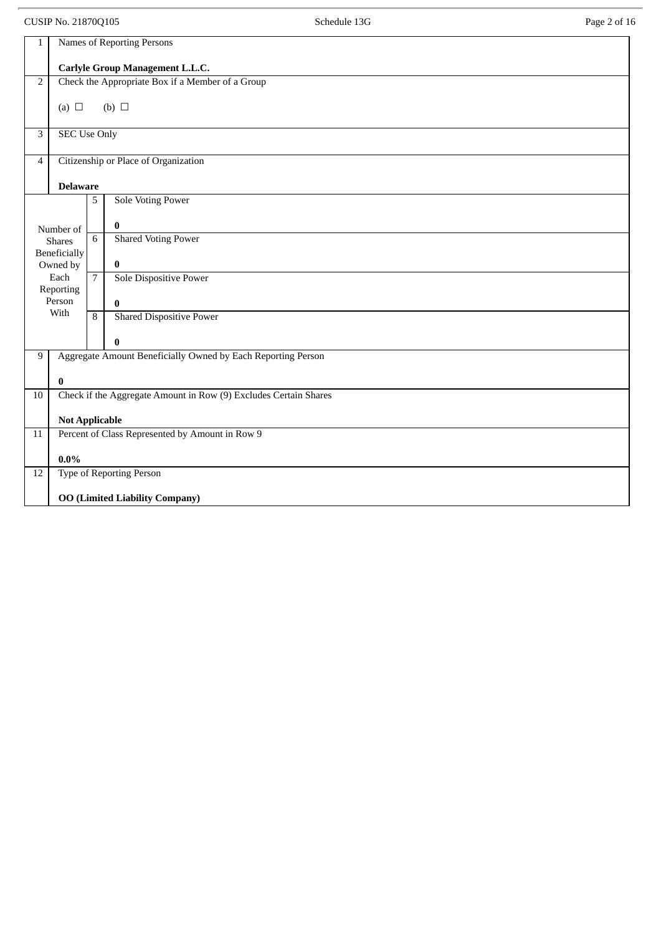CUSIP No. 21870Q105 Schedule 13G Page 2 of 16 1 Names of Reporting Persons **Carlyle Group Management L.L.C.** 2 Check the Appropriate Box if a Member of a Group (a)  $\Box$  (b)  $\Box$ 3 SEC Use Only 4 Citizenship or Place of Organization **Delaware** Number of Shares Beneficially Owned by Each Reporting Person With 5 Sole Voting Power **0** 6 Shared Voting Power **0** 7 Sole Dispositive Power **0** 8 Shared Dispositive Power **0** 9 | Aggregate Amount Beneficially Owned by Each Reporting Person **0** 10 Check if the Aggregate Amount in Row (9) Excludes Certain Shares **Not Applicable** 11 Percent of Class Represented by Amount in Row 9 **0.0%** 12 Type of Reporting Person **OO (Limited Liability Company)**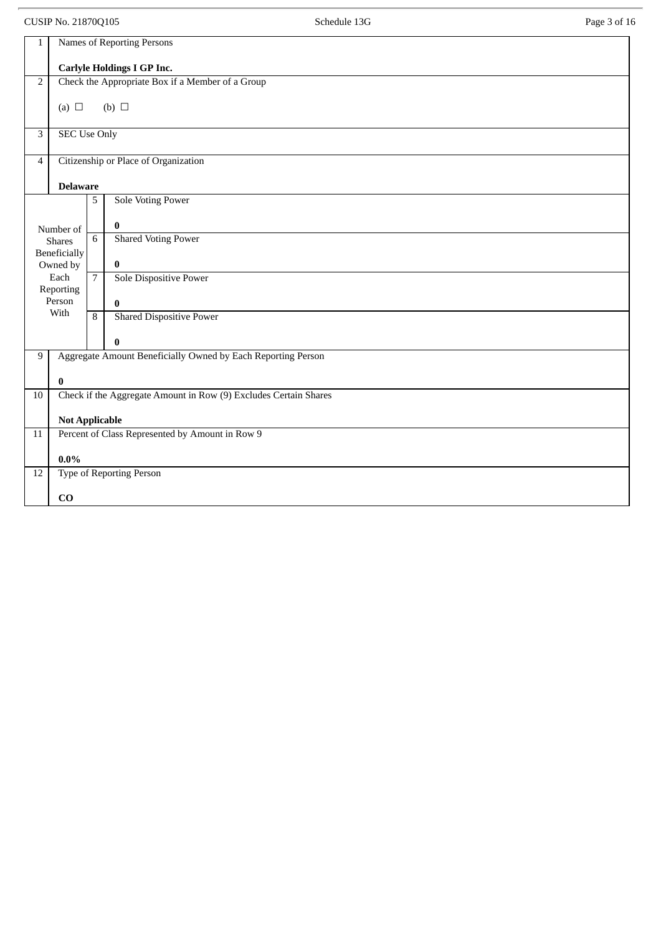CUSIP No. 21870Q105 Page 3 of 16

| $\mathbf{1}$    | Names of Reporting Persons          |                                                                  |  |
|-----------------|-------------------------------------|------------------------------------------------------------------|--|
|                 |                                     | <b>Carlyle Holdings I GP Inc.</b>                                |  |
| $\overline{2}$  |                                     | Check the Appropriate Box if a Member of a Group                 |  |
|                 | (a) $\Box$                          | (b) $\Box$                                                       |  |
| $\overline{3}$  | <b>SEC Use Only</b>                 |                                                                  |  |
| $\overline{4}$  |                                     | Citizenship or Place of Organization                             |  |
|                 | <b>Delaware</b>                     |                                                                  |  |
|                 | 5                                   | <b>Sole Voting Power</b>                                         |  |
|                 | Number of                           | $\bf{0}$                                                         |  |
|                 | 6<br><b>Shares</b>                  | <b>Shared Voting Power</b>                                       |  |
|                 | Beneficially<br>Owned by            | $\bf{0}$                                                         |  |
|                 | Each<br>$\overline{7}$<br>Reporting | Sole Dispositive Power                                           |  |
|                 | Person                              | $\bf{0}$                                                         |  |
|                 | With<br>8                           | <b>Shared Dispositive Power</b>                                  |  |
|                 |                                     | $\bf{0}$                                                         |  |
| 9               |                                     | Aggregate Amount Beneficially Owned by Each Reporting Person     |  |
|                 | $\bf{0}$                            |                                                                  |  |
| $10\,$          |                                     | Check if the Aggregate Amount in Row (9) Excludes Certain Shares |  |
|                 | <b>Not Applicable</b>               |                                                                  |  |
| 11              |                                     | Percent of Class Represented by Amount in Row 9                  |  |
|                 | $0.0\%$                             |                                                                  |  |
| $\overline{12}$ |                                     | Type of Reporting Person                                         |  |
|                 | CO                                  |                                                                  |  |
|                 |                                     |                                                                  |  |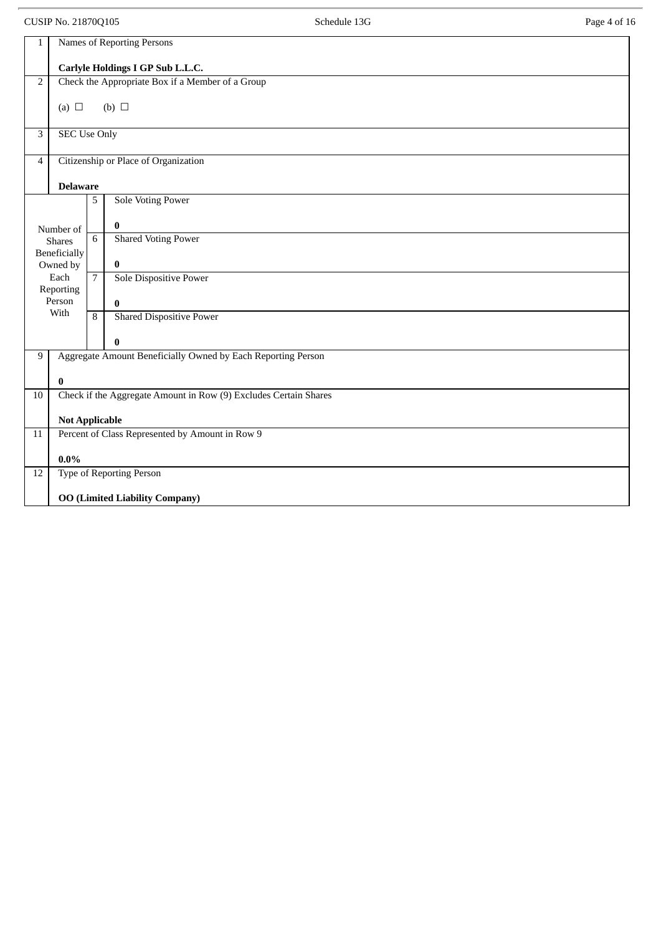CUSIP No. 21870Q105 **Schedule 13G Schedule 13G** Page 4 of 16

| $\mathbf{1}$   |                                       |                | <b>Names of Reporting Persons</b>                                |  |  |
|----------------|---------------------------------------|----------------|------------------------------------------------------------------|--|--|
|                | Carlyle Holdings I GP Sub L.L.C.      |                |                                                                  |  |  |
| $\overline{2}$ |                                       |                | Check the Appropriate Box if a Member of a Group                 |  |  |
|                | (a) $\Box$                            |                | (b) $\Box$                                                       |  |  |
| 3              | <b>SEC Use Only</b>                   |                |                                                                  |  |  |
| $\overline{4}$ |                                       |                | Citizenship or Place of Organization                             |  |  |
|                | <b>Delaware</b>                       |                |                                                                  |  |  |
|                |                                       | 5              | <b>Sole Voting Power</b>                                         |  |  |
|                | Number of                             |                | $\bf{0}$                                                         |  |  |
|                | <b>Shares</b>                         | $\overline{6}$ | <b>Shared Voting Power</b>                                       |  |  |
|                | Beneficially<br>Owned by              |                | 0                                                                |  |  |
|                | Each<br>Reporting                     | $\overline{7}$ | <b>Sole Dispositive Power</b>                                    |  |  |
|                | Person                                |                | 0                                                                |  |  |
|                | With                                  | 8              | <b>Shared Dispositive Power</b>                                  |  |  |
|                |                                       |                | 0                                                                |  |  |
| 9              |                                       |                | Aggregate Amount Beneficially Owned by Each Reporting Person     |  |  |
|                | $\bf{0}$                              |                |                                                                  |  |  |
| 10             |                                       |                | Check if the Aggregate Amount in Row (9) Excludes Certain Shares |  |  |
|                | <b>Not Applicable</b>                 |                |                                                                  |  |  |
| $11\,$         |                                       |                | Percent of Class Represented by Amount in Row 9                  |  |  |
|                | $0.0\%$                               |                |                                                                  |  |  |
| $12\,$         |                                       |                | <b>Type of Reporting Person</b>                                  |  |  |
|                | <b>OO (Limited Liability Company)</b> |                |                                                                  |  |  |
|                |                                       |                |                                                                  |  |  |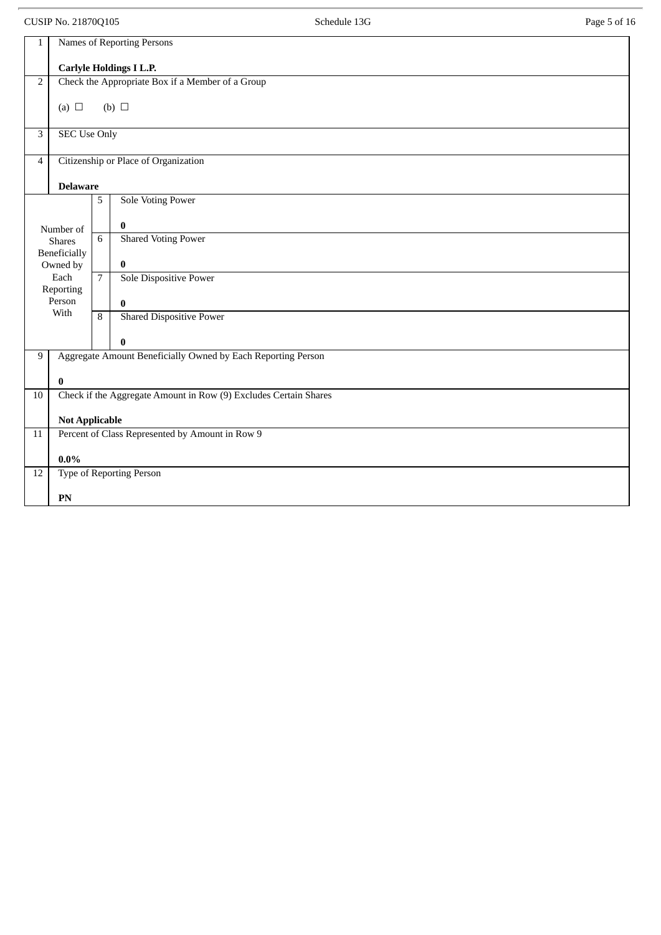CUSIP No. 21870Q105 Page 5 of 16

| $\mathbf{1}$    | Names of Reporting Persons |                 |                                                                  |
|-----------------|----------------------------|-----------------|------------------------------------------------------------------|
|                 |                            |                 | <b>Carlyle Holdings I L.P.</b>                                   |
| $\overline{2}$  |                            |                 | Check the Appropriate Box if a Member of a Group                 |
|                 | (a) $\Box$                 |                 | $(b)$ $\square$                                                  |
|                 |                            |                 |                                                                  |
| 3               | <b>SEC Use Only</b>        |                 |                                                                  |
| $\overline{4}$  |                            |                 | Citizenship or Place of Organization                             |
|                 | <b>Delaware</b>            |                 |                                                                  |
|                 |                            | 5               | <b>Sole Voting Power</b>                                         |
|                 | Number of                  |                 | $\bf{0}$                                                         |
|                 | <b>Shares</b>              | $6\overline{6}$ | <b>Shared Voting Power</b>                                       |
|                 | Beneficially<br>Owned by   |                 | $\bf{0}$                                                         |
|                 | Each<br>Reporting          | $\overline{7}$  | <b>Sole Dispositive Power</b>                                    |
|                 | Person                     |                 | $\bf{0}$                                                         |
|                 | With                       | $\overline{8}$  | <b>Shared Dispositive Power</b>                                  |
|                 |                            |                 | $\bf{0}$                                                         |
| 9               |                            |                 | Aggregate Amount Beneficially Owned by Each Reporting Person     |
|                 | $\bf{0}$                   |                 |                                                                  |
| 10              |                            |                 | Check if the Aggregate Amount in Row (9) Excludes Certain Shares |
|                 | <b>Not Applicable</b>      |                 |                                                                  |
| 11              |                            |                 | Percent of Class Represented by Amount in Row 9                  |
|                 | $0.0\%$                    |                 |                                                                  |
| $\overline{12}$ |                            |                 | Type of Reporting Person                                         |
|                 | PN                         |                 |                                                                  |
|                 |                            |                 |                                                                  |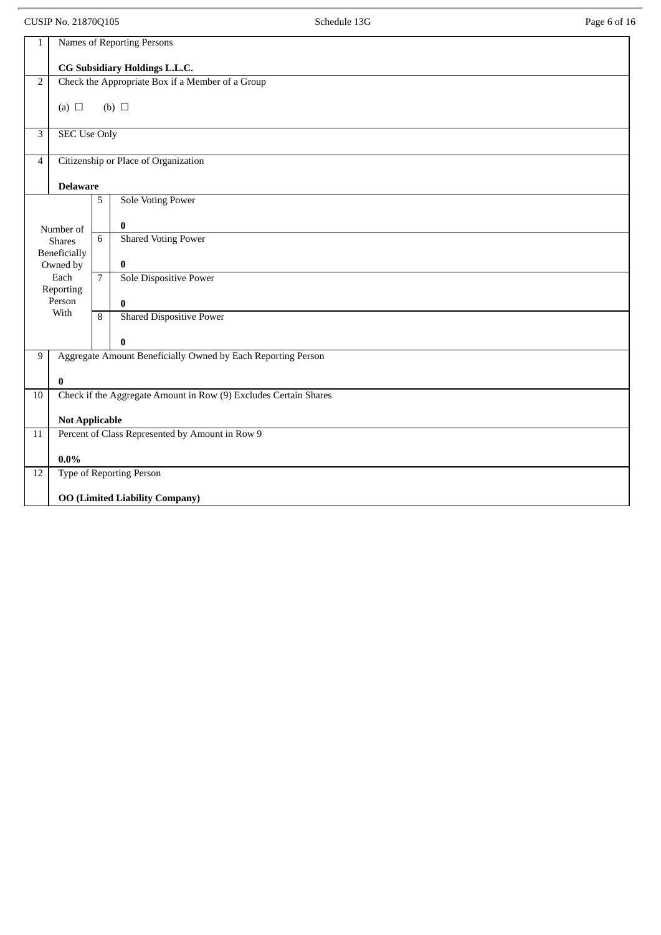CUSIP No. 21870Q105 Schedule 13G Schedule 13G Page 6 of 16

| $\mathbf{1}$              |                                       |                | Names of Reporting Persons                                       |  |
|---------------------------|---------------------------------------|----------------|------------------------------------------------------------------|--|
|                           | CG Subsidiary Holdings L.L.C.         |                |                                                                  |  |
| $\mathbf 2$               |                                       |                | Check the Appropriate Box if a Member of a Group                 |  |
|                           | (a) $\Box$                            |                | $(b)$ $\square$                                                  |  |
|                           |                                       |                |                                                                  |  |
| $\ensuremath{\mathsf{3}}$ | <b>SEC Use Only</b>                   |                |                                                                  |  |
| $\overline{4}$            |                                       |                | Citizenship or Place of Organization                             |  |
|                           | <b>Delaware</b>                       |                |                                                                  |  |
|                           |                                       | 5              | <b>Sole Voting Power</b>                                         |  |
|                           | Number of                             |                | $\pmb{0}$                                                        |  |
|                           | <b>Shares</b>                         | 6              | <b>Shared Voting Power</b>                                       |  |
|                           | Beneficially<br>Owned by              |                | $\pmb{0}$                                                        |  |
|                           | Each<br>Reporting                     | 7 <sup>7</sup> | Sole Dispositive Power                                           |  |
|                           | Person                                |                | $\bf{0}$                                                         |  |
|                           | With                                  | $\overline{8}$ | <b>Shared Dispositive Power</b>                                  |  |
|                           |                                       |                | $\bf{0}$                                                         |  |
| 9                         |                                       |                | Aggregate Amount Beneficially Owned by Each Reporting Person     |  |
|                           | $\bf{0}$                              |                |                                                                  |  |
| $10\,$                    |                                       |                | Check if the Aggregate Amount in Row (9) Excludes Certain Shares |  |
|                           | <b>Not Applicable</b>                 |                |                                                                  |  |
| $11\,$                    |                                       |                | Percent of Class Represented by Amount in Row 9                  |  |
|                           | $0.0\%$                               |                |                                                                  |  |
| 12                        |                                       |                | <b>Type of Reporting Person</b>                                  |  |
|                           | <b>OO (Limited Liability Company)</b> |                |                                                                  |  |
|                           |                                       |                |                                                                  |  |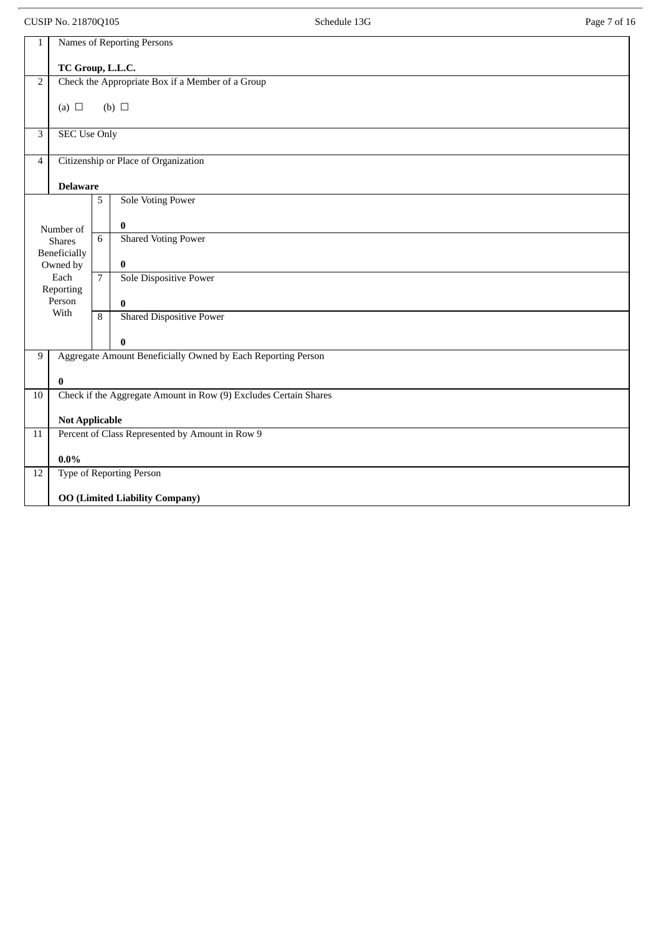CUSIP No. 21870Q105 Page 7 of 16

| 1                        | Names of Reporting Persons                                               |                 |                                                                  |  |
|--------------------------|--------------------------------------------------------------------------|-----------------|------------------------------------------------------------------|--|
|                          | TC Group, L.L.C.                                                         |                 |                                                                  |  |
| $\overline{2}$           |                                                                          |                 | Check the Appropriate Box if a Member of a Group                 |  |
|                          | (a) $\Box$                                                               |                 | (b) $\Box$                                                       |  |
|                          |                                                                          |                 |                                                                  |  |
| 3                        | <b>SEC Use Only</b>                                                      |                 |                                                                  |  |
| $\overline{\mathcal{A}}$ |                                                                          |                 | Citizenship or Place of Organization                             |  |
|                          | <b>Delaware</b>                                                          |                 |                                                                  |  |
|                          |                                                                          | 5               | <b>Sole Voting Power</b>                                         |  |
|                          |                                                                          |                 |                                                                  |  |
|                          | Number of                                                                | $6\overline{6}$ | $\bf{0}$                                                         |  |
|                          | <b>Shares</b>                                                            |                 | <b>Shared Voting Power</b>                                       |  |
|                          | Beneficially<br>Owned by                                                 |                 | $\bf{0}$                                                         |  |
|                          | Each                                                                     | $\overline{7}$  | Sole Dispositive Power                                           |  |
|                          | Reporting<br>Person                                                      |                 |                                                                  |  |
|                          | With                                                                     | $\overline{8}$  | $\bf{0}$<br><b>Shared Dispositive Power</b>                      |  |
|                          |                                                                          |                 |                                                                  |  |
| $\boldsymbol{0}$         |                                                                          |                 |                                                                  |  |
| 9                        |                                                                          |                 | Aggregate Amount Beneficially Owned by Each Reporting Person     |  |
|                          | 0                                                                        |                 |                                                                  |  |
| 10                       |                                                                          |                 | Check if the Aggregate Amount in Row (9) Excludes Certain Shares |  |
|                          |                                                                          |                 |                                                                  |  |
| 11                       | <b>Not Applicable</b><br>Percent of Class Represented by Amount in Row 9 |                 |                                                                  |  |
|                          |                                                                          |                 |                                                                  |  |
|                          | $0.0\%$                                                                  |                 |                                                                  |  |
| 12                       |                                                                          |                 | <b>Type of Reporting Person</b>                                  |  |
|                          | <b>OO</b> (Limited Liability Company)                                    |                 |                                                                  |  |
|                          |                                                                          |                 |                                                                  |  |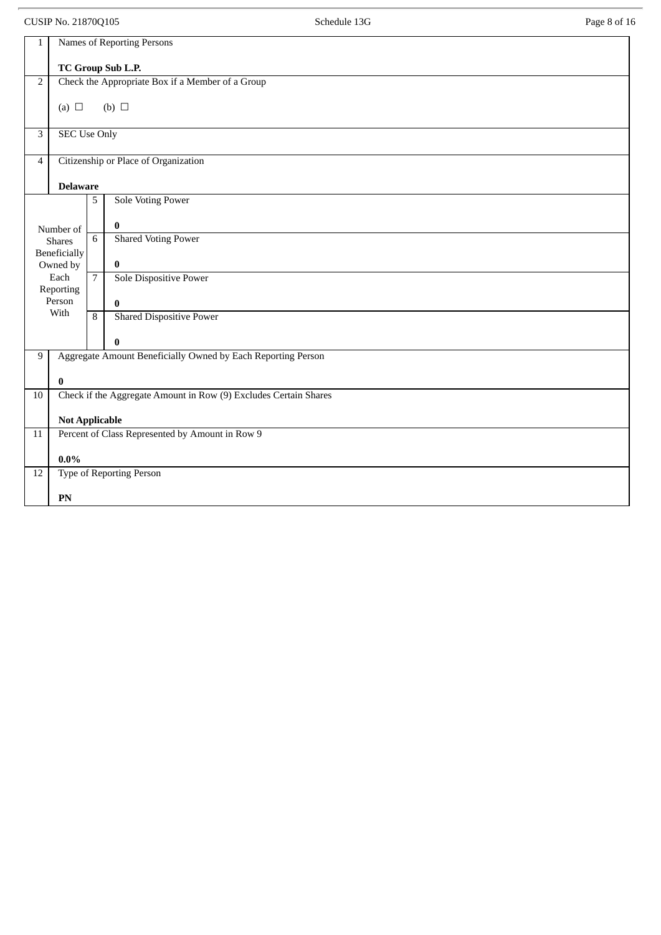CUSIP No. 21870Q105 Page 8 of 16

| $\mathbf{1}$   |                          |                | Names of Reporting Persons                                       |
|----------------|--------------------------|----------------|------------------------------------------------------------------|
|                |                          |                | TC Group Sub L.P.                                                |
| $\sqrt{2}$     |                          |                | Check the Appropriate Box if a Member of a Group                 |
|                | (a) $\Box$               |                | (b) $\Box$                                                       |
|                |                          |                |                                                                  |
| $\overline{3}$ | <b>SEC Use Only</b>      |                |                                                                  |
| $\overline{4}$ |                          |                | Citizenship or Place of Organization                             |
|                | <b>Delaware</b>          |                |                                                                  |
|                |                          | 5              | <b>Sole Voting Power</b>                                         |
|                | Number of                |                | $\bf{0}$                                                         |
|                | <b>Shares</b>            | 6              | <b>Shared Voting Power</b>                                       |
|                | Beneficially<br>Owned by |                | $\bf{0}$                                                         |
|                | Each                     | $\overline{7}$ | <b>Sole Dispositive Power</b>                                    |
|                | Reporting                |                |                                                                  |
|                | Person<br>With           |                | $\bf{0}$                                                         |
|                |                          | 8              | <b>Shared Dispositive Power</b>                                  |
|                |                          |                | $\bf{0}$                                                         |
| 9              |                          |                | Aggregate Amount Beneficially Owned by Each Reporting Person     |
|                | $\bf{0}$                 |                |                                                                  |
| 10             |                          |                | Check if the Aggregate Amount in Row (9) Excludes Certain Shares |
|                | <b>Not Applicable</b>    |                |                                                                  |
| 11             |                          |                | Percent of Class Represented by Amount in Row 9                  |
|                | $0.0\%$                  |                |                                                                  |
| 12             |                          |                | <b>Type of Reporting Person</b>                                  |
|                | PN                       |                |                                                                  |
|                |                          |                |                                                                  |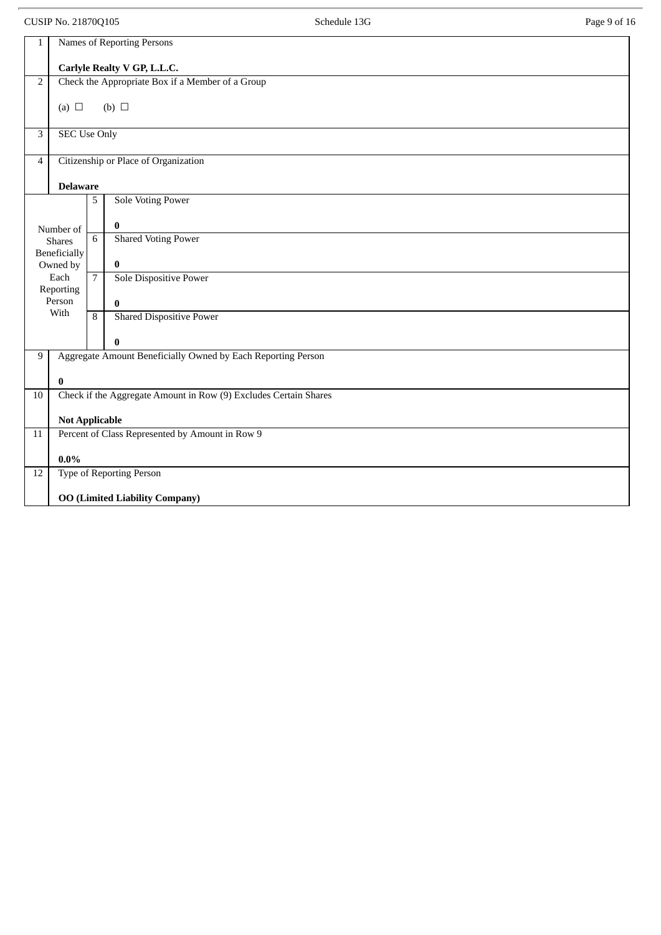CUSIP No. 21870Q105 **Schedule 13G Schedule 13G** Page 9 of 16

| $\mathbf{1}$   | Names of Reporting Persons                                               |                |                                                                  |  |
|----------------|--------------------------------------------------------------------------|----------------|------------------------------------------------------------------|--|
|                |                                                                          |                | Carlyle Realty V GP, L.L.C.                                      |  |
| $\overline{2}$ |                                                                          |                | Check the Appropriate Box if a Member of a Group                 |  |
|                | (a) $\Box$                                                               |                | (b) $\Box$                                                       |  |
|                |                                                                          |                |                                                                  |  |
| 3              | <b>SEC Use Only</b>                                                      |                |                                                                  |  |
| $\overline{4}$ |                                                                          |                | Citizenship or Place of Organization                             |  |
|                |                                                                          |                |                                                                  |  |
|                | <b>Delaware</b>                                                          |                |                                                                  |  |
|                |                                                                          | 5              | <b>Sole Voting Power</b>                                         |  |
|                | Number of                                                                |                | $\bf{0}$                                                         |  |
|                | <b>Shares</b>                                                            | 6              | <b>Shared Voting Power</b>                                       |  |
|                | Beneficially<br>Owned by                                                 |                | $\bf{0}$                                                         |  |
|                | Each                                                                     | $\overline{7}$ | Sole Dispositive Power                                           |  |
|                | Reporting                                                                |                |                                                                  |  |
|                | Person                                                                   |                | $\bf{0}$                                                         |  |
|                | With                                                                     | 8              | <b>Shared Dispositive Power</b>                                  |  |
|                |                                                                          |                | $\bf{0}$                                                         |  |
| 9              |                                                                          |                | Aggregate Amount Beneficially Owned by Each Reporting Person     |  |
|                | 0                                                                        |                |                                                                  |  |
| 10             |                                                                          |                | Check if the Aggregate Amount in Row (9) Excludes Certain Shares |  |
|                |                                                                          |                |                                                                  |  |
| 11             | <b>Not Applicable</b><br>Percent of Class Represented by Amount in Row 9 |                |                                                                  |  |
|                |                                                                          |                |                                                                  |  |
|                | $0.0\%$                                                                  |                |                                                                  |  |
| 12             |                                                                          |                | <b>Type of Reporting Person</b>                                  |  |
|                | <b>OO</b> (Limited Liability Company)                                    |                |                                                                  |  |
|                |                                                                          |                |                                                                  |  |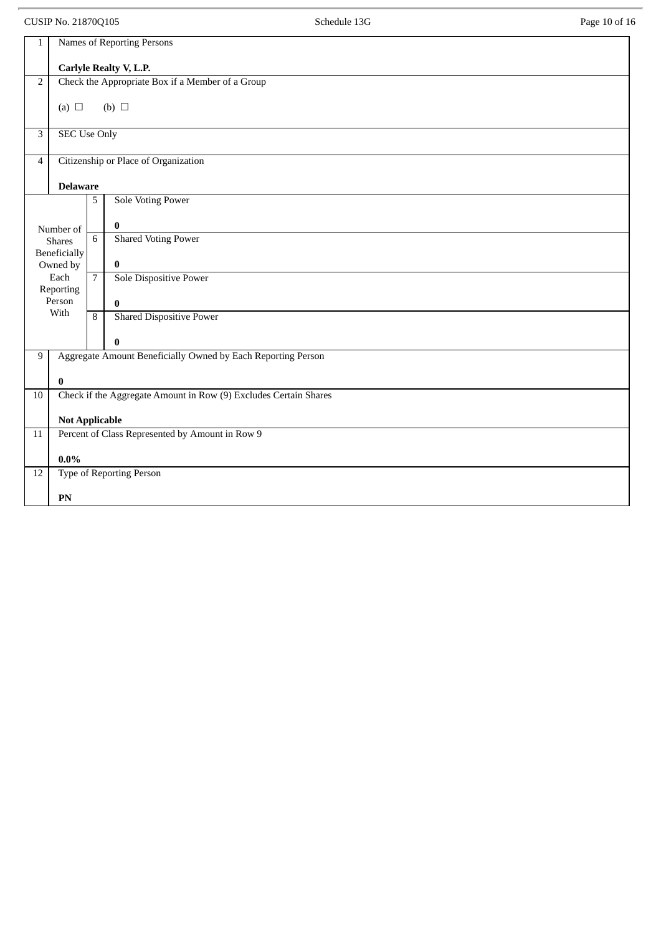CUSIP No. 21870Q105 Schedule 13G Schedule 13G Page 10 of 16

| 1                                    | Names of Reporting Persons |                |                                                                  |
|--------------------------------------|----------------------------|----------------|------------------------------------------------------------------|
|                                      |                            |                | Carlyle Realty V, L.P.                                           |
| $\overline{2}$                       |                            |                | Check the Appropriate Box if a Member of a Group                 |
|                                      | (a) $\Box$                 |                | (b) $\Box$                                                       |
|                                      |                            |                |                                                                  |
| $\overline{3}$                       | <b>SEC Use Only</b>        |                |                                                                  |
| $\overline{4}$                       |                            |                | Citizenship or Place of Organization                             |
|                                      | <b>Delaware</b>            |                |                                                                  |
|                                      |                            | 5              | <b>Sole Voting Power</b>                                         |
|                                      | Number of                  |                | $\bf{0}$                                                         |
|                                      | <b>Shares</b>              | 6              | <b>Shared Voting Power</b>                                       |
| Beneficially<br>Owned by<br>$\bf{0}$ |                            |                |                                                                  |
|                                      | Each<br>Reporting          | $\overline{7}$ | Sole Dispositive Power                                           |
|                                      | Person                     |                | $\bf{0}$                                                         |
|                                      | With                       | 8              | <b>Shared Dispositive Power</b>                                  |
|                                      |                            |                | $\bf{0}$                                                         |
| 9                                    |                            |                | Aggregate Amount Beneficially Owned by Each Reporting Person     |
|                                      | $\bf{0}$                   |                |                                                                  |
| 10                                   |                            |                | Check if the Aggregate Amount in Row (9) Excludes Certain Shares |
|                                      | <b>Not Applicable</b>      |                |                                                                  |
| $\overline{11}$                      |                            |                | Percent of Class Represented by Amount in Row 9                  |
|                                      | $0.0\%$                    |                |                                                                  |
| 12                                   |                            |                | Type of Reporting Person                                         |
|                                      | PN                         |                |                                                                  |
|                                      |                            |                |                                                                  |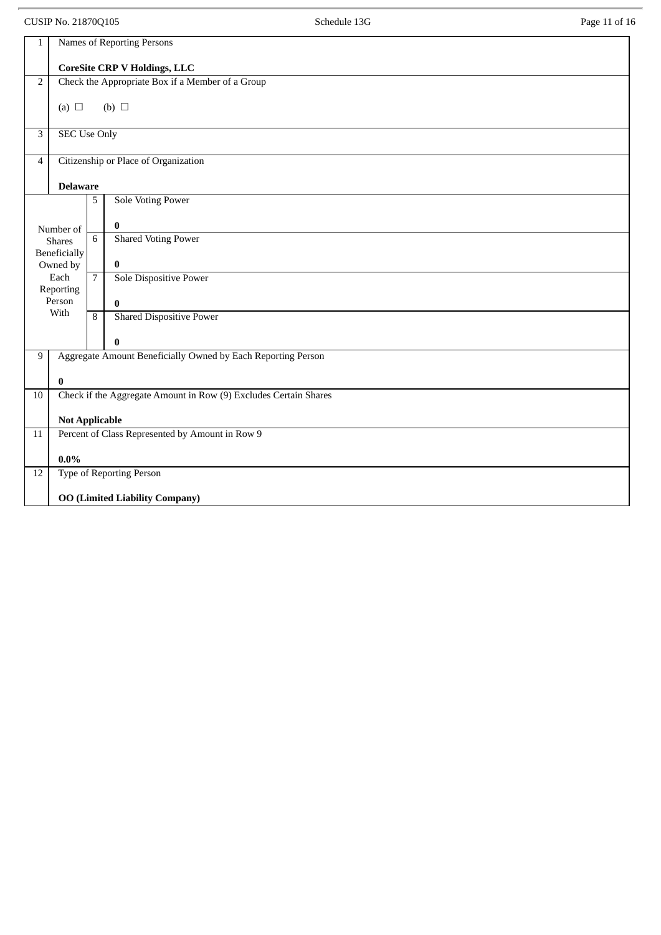CUSIP No. 21870Q105 Page 11 of 16

| $\mathbf{1}$   |                                                                          |                | Names of Reporting Persons                                       |  |
|----------------|--------------------------------------------------------------------------|----------------|------------------------------------------------------------------|--|
|                | <b>CoreSite CRP V Holdings, LLC</b>                                      |                |                                                                  |  |
| $\mathbf 2$    |                                                                          |                | Check the Appropriate Box if a Member of a Group                 |  |
|                | (a) $\Box$                                                               |                | $(b)$ $\square$                                                  |  |
|                |                                                                          |                |                                                                  |  |
| $\overline{3}$ | <b>SEC Use Only</b>                                                      |                |                                                                  |  |
| $\overline{4}$ |                                                                          |                | Citizenship or Place of Organization                             |  |
|                | <b>Delaware</b>                                                          |                |                                                                  |  |
|                |                                                                          | 5              | <b>Sole Voting Power</b>                                         |  |
|                | Number of                                                                |                | $\bf{0}$                                                         |  |
|                | <b>Shares</b>                                                            | 6              | <b>Shared Voting Power</b>                                       |  |
|                | Beneficially<br>Owned by                                                 |                | $\bf{0}$                                                         |  |
|                | Each                                                                     | $\overline{7}$ | Sole Dispositive Power                                           |  |
|                | Reporting<br>Person                                                      |                | $\bf{0}$                                                         |  |
|                | With                                                                     | 8              | <b>Shared Dispositive Power</b>                                  |  |
|                |                                                                          |                | $\bf{0}$                                                         |  |
| 9              |                                                                          |                | Aggregate Amount Beneficially Owned by Each Reporting Person     |  |
|                |                                                                          |                |                                                                  |  |
| 10             | $\bf{0}$                                                                 |                | Check if the Aggregate Amount in Row (9) Excludes Certain Shares |  |
|                |                                                                          |                |                                                                  |  |
| 11             | <b>Not Applicable</b><br>Percent of Class Represented by Amount in Row 9 |                |                                                                  |  |
|                |                                                                          |                |                                                                  |  |
|                | $0.0\%$                                                                  |                |                                                                  |  |
| 12             |                                                                          |                | Type of Reporting Person                                         |  |
|                | <b>OO (Limited Liability Company)</b>                                    |                |                                                                  |  |
|                |                                                                          |                |                                                                  |  |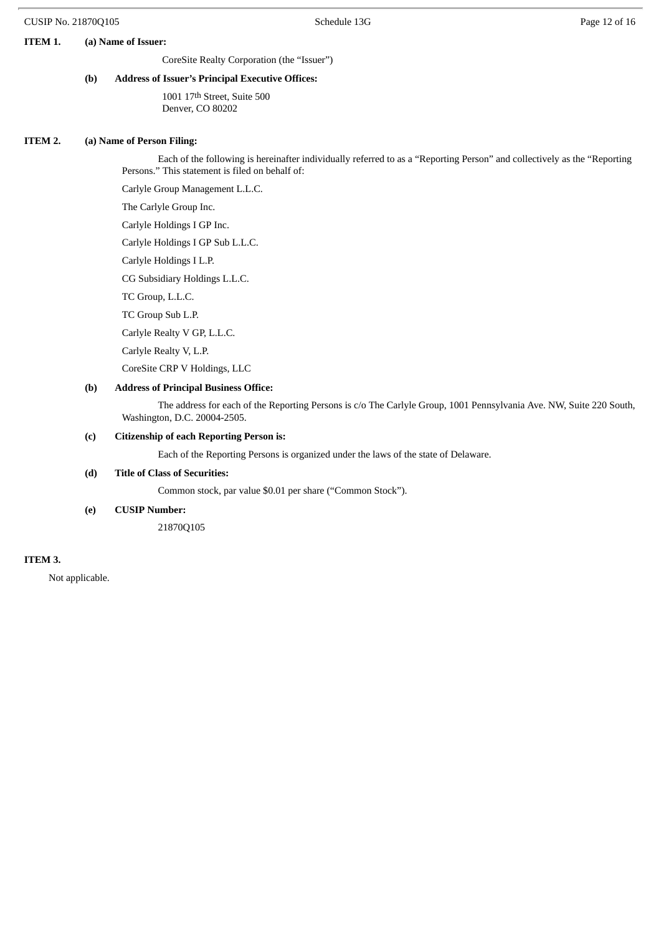#### **ITEM 1. (a) Name of Issuer:**

CoreSite Realty Corporation (the "Issuer")

# **(b) Address of Issuer's Principal Executive Offices:**

1001 17th Street, Suite 500 Denver, CO 80202

#### **ITEM 2. (a) Name of Person Filing:**

Each of the following is hereinafter individually referred to as a "Reporting Person" and collectively as the "Reporting Persons." This statement is filed on behalf of:

Carlyle Group Management L.L.C.

The Carlyle Group Inc.

Carlyle Holdings I GP Inc.

Carlyle Holdings I GP Sub L.L.C.

Carlyle Holdings I L.P.

CG Subsidiary Holdings L.L.C.

TC Group, L.L.C.

TC Group Sub L.P.

Carlyle Realty V GP, L.L.C.

Carlyle Realty V, L.P.

CoreSite CRP V Holdings, LLC

# **(b) Address of Principal Business Office:**

The address for each of the Reporting Persons is c/o The Carlyle Group, 1001 Pennsylvania Ave. NW, Suite 220 South, Washington, D.C. 20004-2505.

#### **(c) Citizenship of each Reporting Person is:**

Each of the Reporting Persons is organized under the laws of the state of Delaware.

#### **(d) Title of Class of Securities:**

Common stock, par value \$0.01 per share ("Common Stock").

#### **(e) CUSIP Number:**

21870Q105

#### **ITEM 3.**

Not applicable.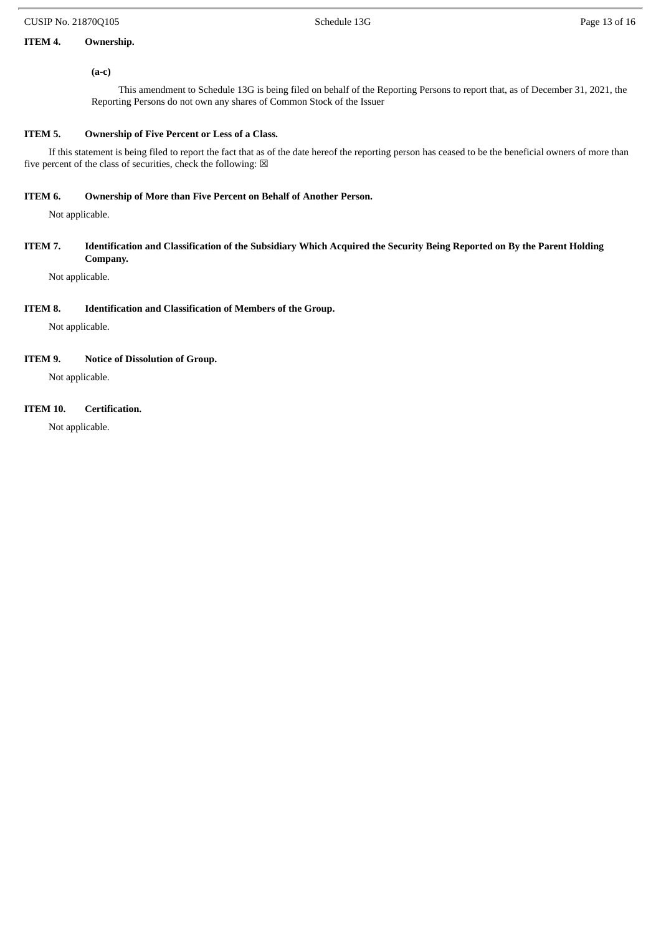# **ITEM 4. Ownership.**

# **(a-c)**

This amendment to Schedule 13G is being filed on behalf of the Reporting Persons to report that, as of December 31, 2021, the Reporting Persons do not own any shares of Common Stock of the Issuer

# **ITEM 5. Ownership of Five Percent or Less of a Class.**

If this statement is being filed to report the fact that as of the date hereof the reporting person has ceased to be the beneficial owners of more than five percent of the class of securities, check the following:  $\boxtimes$ 

#### **ITEM 6. Ownership of More than Five Percent on Behalf of Another Person.**

Not applicable.

## ITEM 7. Identification and Classification of the Subsidiary Which Acquired the Security Being Reported on By the Parent Holding **Company.**

Not applicable.

# **ITEM 8. Identification and Classification of Members of the Group.**

Not applicable.

#### **ITEM 9. Notice of Dissolution of Group.**

Not applicable.

# **ITEM 10. Certification.**

Not applicable.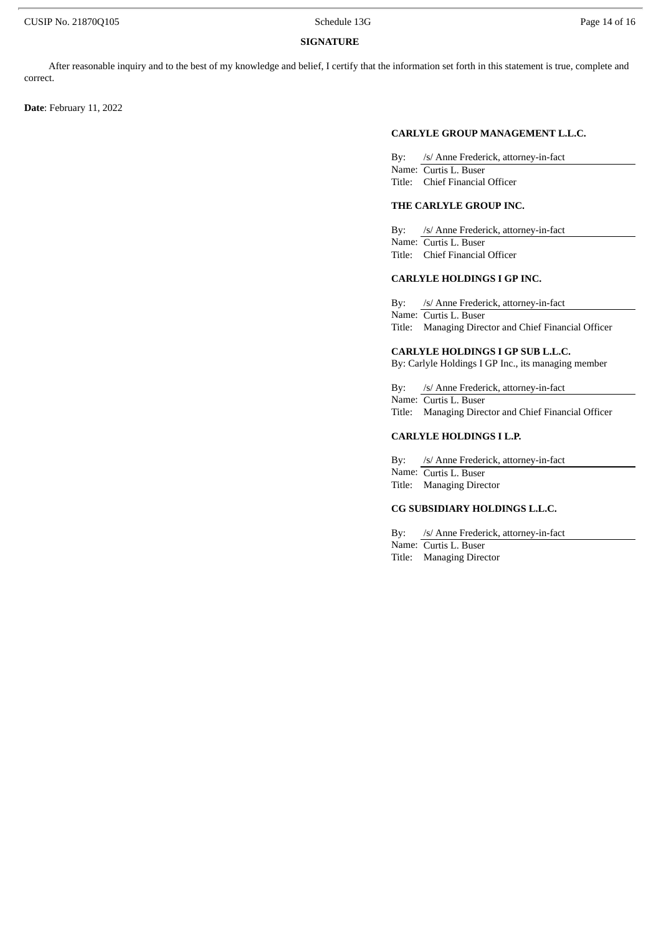#### **SIGNATURE**

After reasonable inquiry and to the best of my knowledge and belief, I certify that the information set forth in this statement is true, complete and correct.

**Date**: February 11, 2022

#### **CARLYLE GROUP MANAGEMENT L.L.C.**

By: /s/ Anne Frederick, attorney-in-fact Name: Curtis L. Buser Title: Chief Financial Officer

#### **THE CARLYLE GROUP INC.**

By: /s/ Anne Frederick, attorney-in-fact Name: Curtis L. Buser Title: Chief Financial Officer

# **CARLYLE HOLDINGS I GP INC.**

By: /s/ Anne Frederick, attorney-in-fact Name: Curtis L. Buser Title: Managing Director and Chief Financial Officer

#### **CARLYLE HOLDINGS I GP SUB L.L.C.**

By: Carlyle Holdings I GP Inc., its managing member

By: /s/ Anne Frederick, attorney-in-fact Name: Curtis L. Buser Title: Managing Director and Chief Financial Officer

#### **CARLYLE HOLDINGS I L.P.**

By: /s/ Anne Frederick, attorney-in-fact Name: Curtis L. Buser Title: Managing Director

# **CG SUBSIDIARY HOLDINGS L.L.C.**

By: /s/ Anne Frederick, attorney-in-fact Name: Curtis L. Buser Title: Managing Director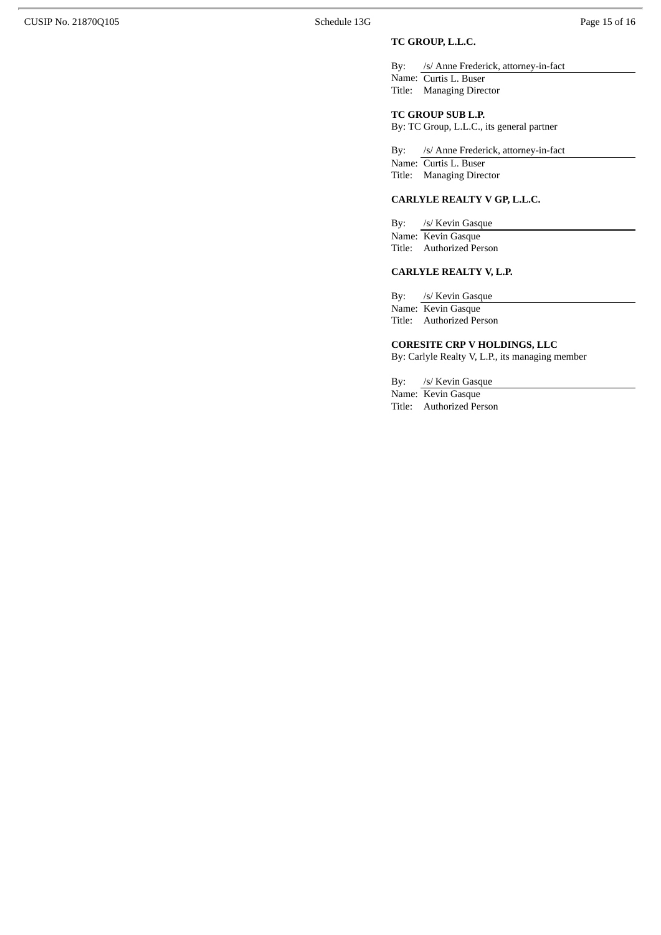# **TC GROUP, L.L.C.**

By: /s/ Anne Frederick, attorney-in-fact Name: Curtis L. Buser Title: Managing Director

# **TC GROUP SUB L.P.**

By: TC Group, L.L.C., its general partner

By: /s/ Anne Frederick, attorney-in-fact Name: Curtis L. Buser Title: Managing Director

#### **CARLYLE REALTY V GP, L.L.C.**

By: /s/ Kevin Gasque Name: Kevin Gasque Title: Authorized Person

# **CARLYLE REALTY V, L.P.**

By: /s/ Kevin Gasque Name: Kevin Gasque

Title: Authorized Person

#### **CORESITE CRP V HOLDINGS, LLC**

By: Carlyle Realty V, L.P., its managing member

By: /s/ Kevin Gasque

Name: Kevin Gasque

Title: Authorized Person